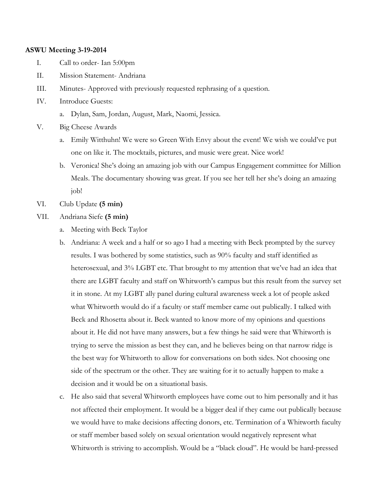### **ASWU Meeting 3-19-2014**

- I. Call to order- Ian 5:00pm
- II. Mission Statement- Andriana
- III. Minutes- Approved with previously requested rephrasing of a question.
- IV. Introduce Guests:
	- a. Dylan, Sam, Jordan, August, Mark, Naomi, Jessica.
- V. Big Cheese Awards
	- a. Emily Witthuhn! We were so Green With Envy about the event! We wish we could've put one on like it. The mocktails, pictures, and music were great. Nice work!
	- b. Veronica! She's doing an amazing job with our Campus Engagement committee for Million Meals. The documentary showing was great. If you see her tell her she's doing an amazing job!
- VI. Club Update **(5 min)**
- VII. Andriana Siefe **(5 min)**
	- a. Meeting with Beck Taylor
	- b. Andriana: A week and a half or so ago I had a meeting with Beck prompted by the survey results. I was bothered by some statistics, such as 90% faculty and staff identified as heterosexual, and 3% LGBT etc. That brought to my attention that we've had an idea that there are LGBT faculty and staff on Whitworth's campus but this result from the survey set it in stone. At my LGBT ally panel during cultural awareness week a lot of people asked what Whitworth would do if a faculty or staff member came out publically. I talked with Beck and Rhosetta about it. Beck wanted to know more of my opinions and questions about it. He did not have many answers, but a few things he said were that Whitworth is trying to serve the mission as best they can, and he believes being on that narrow ridge is the best way for Whitworth to allow for conversations on both sides. Not choosing one side of the spectrum or the other. They are waiting for it to actually happen to make a decision and it would be on a situational basis.
	- c. He also said that several Whitworth employees have come out to him personally and it has not affected their employment. It would be a bigger deal if they came out publically because we would have to make decisions affecting donors, etc. Termination of a Whitworth faculty or staff member based solely on sexual orientation would negatively represent what Whitworth is striving to accomplish. Would be a "black cloud". He would be hard-pressed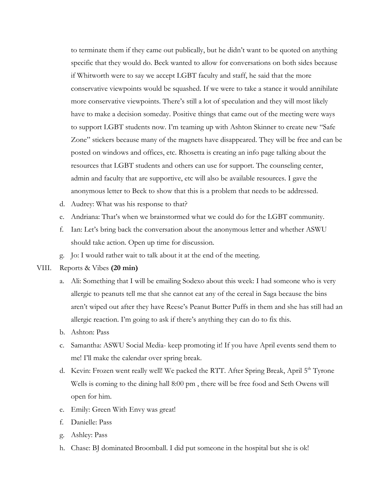to terminate them if they came out publically, but he didn't want to be quoted on anything specific that they would do. Beck wanted to allow for conversations on both sides because if Whitworth were to say we accept LGBT faculty and staff, he said that the more conservative viewpoints would be squashed. If we were to take a stance it would annihilate more conservative viewpoints. There's still a lot of speculation and they will most likely have to make a decision someday. Positive things that came out of the meeting were ways to support LGBT students now. I'm teaming up with Ashton Skinner to create new "Safe Zone" stickers because many of the magnets have disappeared. They will be free and can be posted on windows and offices, etc. Rhosetta is creating an info page talking about the resources that LGBT students and others can use for support. The counseling center, admin and faculty that are supportive, etc will also be available resources. I gave the anonymous letter to Beck to show that this is a problem that needs to be addressed.

- d. Audrey: What was his response to that?
- e. Andriana: That's when we brainstormed what we could do for the LGBT community.
- f. Ian: Let's bring back the conversation about the anonymous letter and whether ASWU should take action. Open up time for discussion.
- g. Jo: I would rather wait to talk about it at the end of the meeting.

## VIII. Reports & Vibes **(20 min)**

- a. Ali: Something that I will be emailing Sodexo about this week: I had someone who is very allergic to peanuts tell me that she cannot eat any of the cereal in Saga because the bins aren't wiped out after they have Reese's Peanut Butter Puffs in them and she has still had an allergic reaction. I'm going to ask if there's anything they can do to fix this.
- b. Ashton: Pass
- c. Samantha: ASWU Social Media- keep promoting it! If you have April events send them to me! I'll make the calendar over spring break.
- d. Kevin: Frozen went really well! We packed the RTT. After Spring Break, April  $5<sup>th</sup>$  Tyrone Wells is coming to the dining hall 8:00 pm , there will be free food and Seth Owens will open for him.
- e. Emily: Green With Envy was great!
- f. Danielle: Pass
- g. Ashley: Pass
- h. Chase: BJ dominated Broomball. I did put someone in the hospital but she is ok!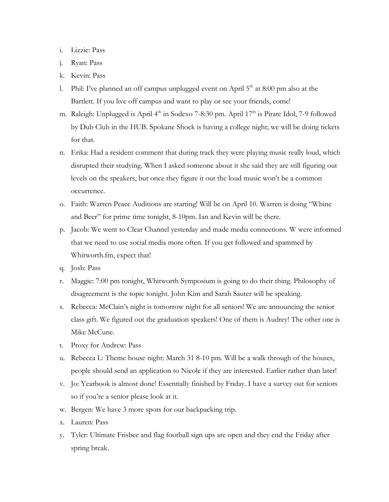### i. Lizzie: Pass

- j. Ryan: Pass
- k. Kevin: Pass
- l. Phil: I've planned an off campus unplugged event on April  $5<sup>th</sup>$  at 8:00 pm also at the Bartlett. If you live off campus and want to play or see your friends, come!
- m. Raleigh: Unplugged is April 4<sup>th</sup> in Sodexo 7-8:30 pm. April 17<sup>th</sup> is Pirate Idol, 7-9 followed by Dub Club in the HUB. Spokane Shock is having a college night; we will be doing tickets for that.
- n. Erika: Had a resident comment that during track they were playing music really loud, which disrupted their studying. When I asked someone about it she said they are still figuring out levels on the speakers, but once they figure it out the loud music won't be a common occurrence.
- o. Faith: Warren Peace Auditions are starting! Will be on April 10. Warren is doing "Whine and Beer" for prime time tonight, 8-10pm. Ian and Kevin will be there.
- p. Jacob: We went to Clear Channel yesterday and made media connections. W were informed that we need to use social media more often. If you get followed and spammed by Whitworth.fm, expect that!
- q. Josh: Pass
- r. Maggie: 7:00 pm tonight, Whitworth Symposium is going to do their thing. Philosophy of disagreement is the topic tonight. John Kim and Sarah Sauter will be speaking.
- s. Rebecca: McClain's night is tomorrow night for all seniors! We are announcing the senior class gift. We figured out the graduation speakers! One of them is Audrey! The other one is Mike McCune.
- t. Proxy for Andrew: Pass
- u. Rebecca L: Theme house night: March 31 8-10 pm. Will be a walk through of the houses, people should send an application to Nicole if they are interested. Earlier rather than later!
- v. Jo: Yearbook is almost done! Essentially finished by Friday. I have a survey out for seniors so if you're a senior please look at it.
- w. Bergen: We have 3 more spots for our backpacking trip.
- x. Lauren: Pass
- y. Tyler: Ultimate Frisbee and flag football sign ups are open and they end the Friday after spring break.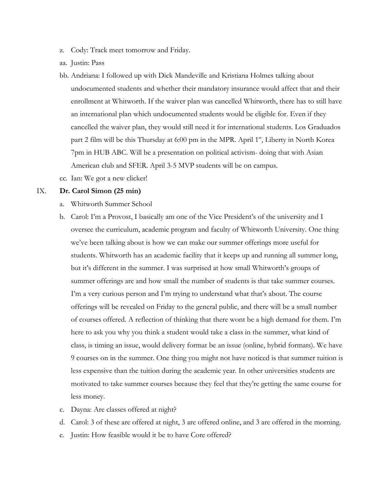- z. Cody: Track meet tomorrow and Friday.
- aa. Justin: Pass
- bb. Andriana: I followed up with Dick Mandeville and Kristiana Holmes talking about undocumented students and whether their mandatory insurance would affect that and their enrollment at Whitworth. If the waiver plan was cancelled Whitworth, there has to still have an international plan which undocumented students would be eligible for. Even if they cancelled the waiver plan, they would still need it for international students. Los Graduados part 2 film will be this Thursday at 6:00 pm in the MPR. April  $1<sup>st</sup>$ , Liberty in North Korea 7pm in HUB ABC. Will be a presentation on political activism- doing that with Asian American club and SFER. April 3-5 MVP students will be on campus.
- cc. Ian: We got a new clicker!

#### IX. **Dr. Carol Simon (25 min)**

- a. Whitworth Summer School
- b. Carol: I'm a Provost, I basically am one of the Vice President's of the university and I oversee the curriculum, academic program and faculty of Whitworth University. One thing we've been talking about is how we can make our summer offerings more useful for students. Whitworth has an academic facility that it keeps up and running all summer long, but it's different in the summer. I was surprised at how small Whitworth's groups of summer offerings are and how small the number of students is that take summer courses. I'm a very curious person and I'm trying to understand what that's about. The course offerings will be revealed on Friday to the general public, and there will be a small number of courses offered. A reflection of thinking that there wont be a high demand for them. I'm here to ask you why you think a student would take a class in the summer, what kind of class, is timing an issue, would delivery format be an issue (online, hybrid formats). We have 9 courses on in the summer. One thing you might not have noticed is that summer tuition is less expensive than the tuition during the academic year. In other universities students are motivated to take summer courses because they feel that they're getting the same course for less money.
- c. Dayna: Are classes offered at night?
- d. Carol: 3 of these are offered at night, 3 are offered online, and 3 are offered in the morning.
- e. Justin: How feasible would it be to have Core offered?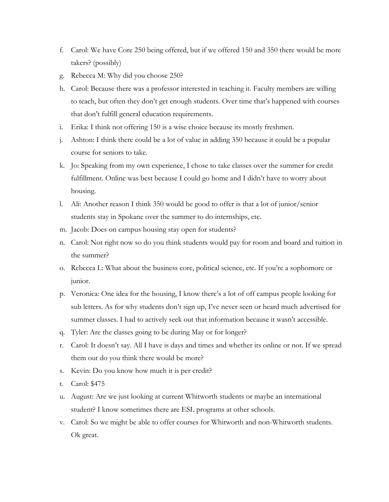- f. Carol: We have Core 250 being offered, but if we offered 150 and 350 there would be more takers? (possibly)
- g. Rebecca M: Why did you choose 250?
- h. Carol: Because there was a professor interested in teaching it. Faculty members are willing to teach, but often they don't get enough students. Over time that's happened with courses that don't fulfill general education requirements.
- i. Erika: I think not offering 150 is a wise choice because its mostly freshmen.
- j. Ashton: I think there could be a lot of value in adding 350 because it could be a popular course for seniors to take.
- k. Jo: Speaking from my own experience, I chose to take classes over the summer for credit fulfillment. Online was best because I could go home and I didn't have to worry about housing.
- l. Ali: Another reason I think 350 would be good to offer is that a lot of junior/senior students stay in Spokane over the summer to do internships, etc.
- m. Jacob: Does on campus housing stay open for students?
- n. Carol: Not right now so do you think students would pay for room and board and tuition in the summer?
- o. Rebecca L: What about the business core, political science, etc. If you're a sophomore or junior.
- p. Veronica: One idea for the housing, I know there's a lot of off campus people looking for sub letters. As for why students don't sign up, I've never seen or heard much advertised for summer classes. I had to actively seek out that information because it wasn't accessible.
- q. Tyler: Are the classes going to be during May or for longer?
- r. Carol: It doesn't say. All I have is days and times and whether its online or not. If we spread them out do you think there would be more?
- s. Kevin: Do you know how much it is per credit?
- t. Carol: \$475
- u. August: Are we just looking at current Whitworth students or maybe an international student? I know sometimes there are ESL programs at other schools.
- v. Carol: So we might be able to offer courses for Whitworth and non-Whitworth students. Ok great.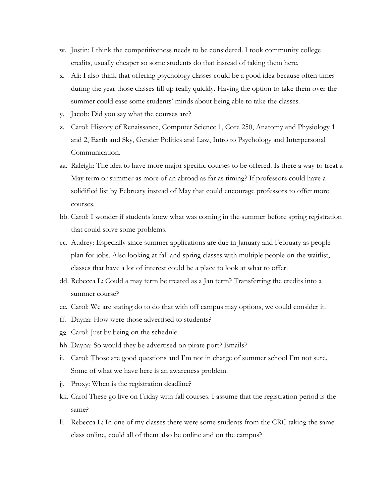- w. Justin: I think the competitiveness needs to be considered. I took community college credits, usually cheaper so some students do that instead of taking them here.
- x. Ali: I also think that offering psychology classes could be a good idea because often times during the year those classes fill up really quickly. Having the option to take them over the summer could ease some students' minds about being able to take the classes.
- y. Jacob: Did you say what the courses are?
- z. Carol: History of Renaissance, Computer Science 1, Core 250, Anatomy and Physiology 1 and 2, Earth and Sky, Gender Politics and Law, Intro to Psychology and Interpersonal Communication.
- aa. Raleigh: The idea to have more major specific courses to be offered. Is there a way to treat a May term or summer as more of an abroad as far as timing? If professors could have a solidified list by February instead of May that could encourage professors to offer more courses.
- bb. Carol: I wonder if students knew what was coming in the summer before spring registration that could solve some problems.
- cc. Audrey: Especially since summer applications are due in January and February as people plan for jobs. Also looking at fall and spring classes with multiple people on the waitlist, classes that have a lot of interest could be a place to look at what to offer.
- dd. Rebecca L: Could a may term be treated as a Jan term? Transferring the credits into a summer course?
- ee. Carol: We are stating do to do that with off campus may options, we could consider it.
- ff. Dayna: How were those advertised to students?
- gg. Carol: Just by being on the schedule.
- hh. Dayna: So would they be advertised on pirate port? Emails?
- ii. Carol: Those are good questions and I'm not in charge of summer school I'm not sure. Some of what we have here is an awareness problem.
- jj. Proxy: When is the registration deadline?
- kk. Carol These go live on Friday with fall courses. I assume that the registration period is the same?
- ll. Rebecca L: In one of my classes there were some students from the CRC taking the same class online, could all of them also be online and on the campus?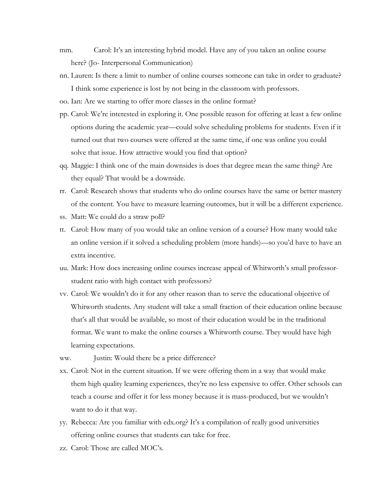- mm. Carol: It's an interesting hybrid model. Have any of you taken an online course here? (Jo- Interpersonal Communication)
- nn. Lauren: Is there a limit to number of online courses someone can take in order to graduate? I think some experience is lost by not being in the classroom with professors.
- oo. Ian: Are we starting to offer more classes in the online format?
- pp. Carol: We're interested in exploring it. One possible reason for offering at least a few online options during the academic year—could solve scheduling problems for students. Even if it turned out that two courses were offered at the same time, if one was online you could solve that issue. How attractive would you find that option?
- qq. Maggie: I think one of the main downsides is does that degree mean the same thing? Are they equal? That would be a downside.
- rr. Carol: Research shows that students who do online courses have the same or better mastery of the content. You have to measure learning outcomes, but it will be a different experience.
- ss. Matt: We could do a straw poll?
- tt. Carol: How many of you would take an online version of a course? How many would take an online version if it solved a scheduling problem (more hands)—so you'd have to have an extra incentive.
- uu. Mark: How does increasing online courses increase appeal of Whitworth's small professorstudent ratio with high contact with professors?
- vv. Carol: We wouldn't do it for any other reason than to serve the educational objective of Whitworth students. Any student will take a small fraction of their education online because that's all that would be available, so most of their education would be in the traditional format. We want to make the online courses a Whitworth course. They would have high learning expectations.
- ww. **Justin:** Would there be a price difference?
- xx. Carol: Not in the current situation. If we were offering them in a way that would make them high quality learning experiences, they're no less expensive to offer. Other schools can teach a course and offer it for less money because it is mass-produced, but we wouldn't want to do it that way.
- yy. Rebecca: Are you familiar with edx.org? It's a compilation of really good universities offering online courses that students can take for free.
- zz. Carol: Those are called MOC's.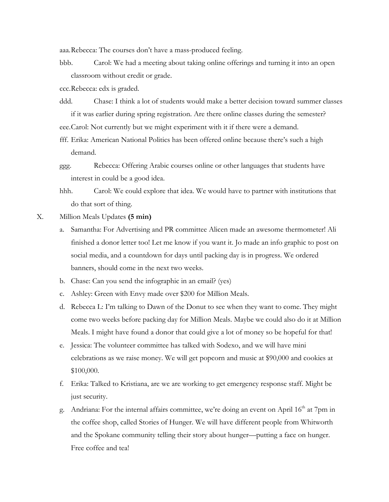aaa.Rebecca: The courses don't have a mass-produced feeling.

bbb. Carol: We had a meeting about taking online offerings and turning it into an open classroom without credit or grade.

ccc.Rebecca: edx is graded.

ddd. Chase: I think a lot of students would make a better decision toward summer classes if it was earlier during spring registration. Are there online classes during the semester?

eee.Carol: Not currently but we might experiment with it if there were a demand.

fff. Erika: American National Politics has been offered online because there's such a high demand.

hhh. Carol: We could explore that idea. We would have to partner with institutions that do that sort of thing.

X. Million Meals Updates **(5 min)**

a. Samantha: For Advertising and PR committee Alicen made an awesome thermometer! Ali finished a donor letter too! Let me know if you want it. Jo made an info graphic to post on social media, and a countdown for days until packing day is in progress. We ordered banners, should come in the next two weeks.

b. Chase: Can you send the infographic in an email? (yes)

- c. Ashley: Green with Envy made over \$200 for Million Meals.
- d. Rebecca L: I'm talking to Dawn of the Donut to see when they want to come. They might come two weeks before packing day for Million Meals. Maybe we could also do it at Million Meals. I might have found a donor that could give a lot of money so be hopeful for that!
- e. Jessica: The volunteer committee has talked with Sodexo, and we will have mini celebrations as we raise money. We will get popcorn and music at \$90,000 and cookies at \$100,000.
- f. Erika: Talked to Kristiana, are we are working to get emergency response staff. Might be just security.
- g. Andriana: For the internal affairs committee, we're doing an event on April  $16<sup>th</sup>$  at 7pm in the coffee shop, called Stories of Hunger. We will have different people from Whitworth and the Spokane community telling their story about hunger—putting a face on hunger. Free coffee and tea!

ggg. Rebecca: Offering Arabic courses online or other languages that students have interest in could be a good idea.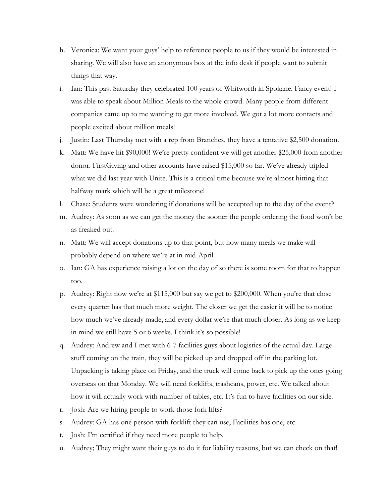- h. Veronica: We want your guys' help to reference people to us if they would be interested in sharing. We will also have an anonymous box at the info desk if people want to submit things that way.
- i. Ian: This past Saturday they celebrated 100 years of Whitworth in Spokane. Fancy event! I was able to speak about Million Meals to the whole crowd. Many people from different companies came up to me wanting to get more involved. We got a lot more contacts and people excited about million meals!
- j. Justin: Last Thursday met with a rep from Branches, they have a tentative \$2,500 donation.
- k. Matt: We have hit \$90,000! We're pretty confident we will get another \$25,000 from another donor. FirstGiving and other accounts have raised \$15,000 so far. We've already tripled what we did last year with Unite. This is a critical time because we're almost hitting that halfway mark which will be a great milestone!
- l. Chase: Students were wondering if donations will be accepted up to the day of the event?
- m. Audrey: As soon as we can get the money the sooner the people ordering the food won't be as freaked out.
- n. Matt: We will accept donations up to that point, but how many meals we make will probably depend on where we're at in mid-April.
- o. Ian: GA has experience raising a lot on the day of so there is some room for that to happen too.
- p. Audrey: Right now we're at \$115,000 but say we get to \$200,000. When you're that close every quarter has that much more weight. The closer we get the easier it will be to notice how much we've already made, and every dollar we're that much closer. As long as we keep in mind we still have 5 or 6 weeks. I think it's so possible!
- q. Audrey: Andrew and I met with 6-7 facilities guys about logistics of the actual day. Large stuff coming on the train, they will be picked up and dropped off in the parking lot. Unpacking is taking place on Friday, and the truck will come back to pick up the ones going overseas on that Monday. We will need forklifts, trashcans, power, etc. We talked about how it will actually work with number of tables, etc. It's fun to have facilities on our side.
- r. Josh: Are we hiring people to work those fork lifts?
- s. Audrey: GA has one person with forklift they can use, Facilities has one, etc.
- t. Josh: I'm certified if they need more people to help.
- u. Audrey; They might want their guys to do it for liability reasons, but we can check on that!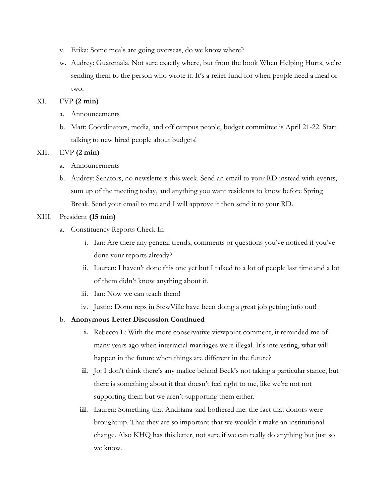- v. Erika: Some meals are going overseas, do we know where?
- w. Audrey: Guatemala. Not sure exactly where, but from the book When Helping Hurts, we're sending them to the person who wrote it. It's a relief fund for when people need a meal or two.

# XI. FVP **(2 min)**

- a. Announcements
- b. Matt: Coordinators, media, and off campus people, budget committee is April 21-22. Start talking to new hired people about budgets!

### XII. EVP **(2 min)**

- a. Announcements
- b. Audrey: Senators, no newsletters this week. Send an email to your RD instead with events, sum up of the meeting today, and anything you want residents to know before Spring Break. Send your email to me and I will approve it then send it to your RD.

# XIII. President **(15 min)**

- a. Constituency Reports Check In
	- i. Ian: Are there any general trends, comments or questions you've noticed if you've done your reports already?
	- ii. Lauren: I haven't done this one yet but I talked to a lot of people last time and a lot of them didn't know anything about it.
	- iii. Ian: Now we can teach them!
	- iv. Justin: Dorm reps in StewVille have been doing a great job getting info out!

### b. **Anonymous Letter Discussion Continued**

- **i.** Rebecca L: With the more conservative viewpoint comment, it reminded me of many years ago when interracial marriages were illegal. It's interesting, what will happen in the future when things are different in the future?
- **ii.** Jo: I don't think there's any malice behind Beck's not taking a particular stance, but there is something about it that doesn't feel right to me, like we're not not supporting them but we aren't supporting them either.
- **iii.** Lauren: Something that Andriana said bothered me: the fact that donors were brought up. That they are so important that we wouldn't make an institutional change. Also KHQ has this letter, not sure if we can really do anything but just so we know.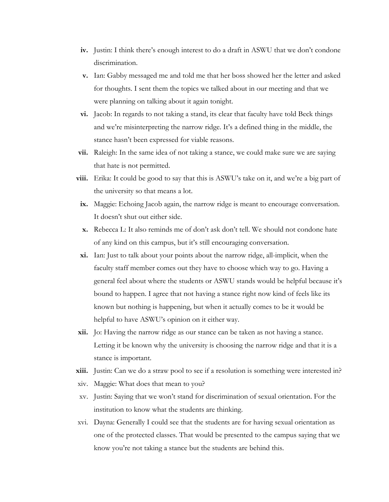- **iv.** Justin: I think there's enough interest to do a draft in ASWU that we don't condone discrimination.
- **v.** Ian: Gabby messaged me and told me that her boss showed her the letter and asked for thoughts. I sent them the topics we talked about in our meeting and that we were planning on talking about it again tonight.
- **vi.** Jacob: In regards to not taking a stand, its clear that faculty have told Beck things and we're misinterpreting the narrow ridge. It's a defined thing in the middle, the stance hasn't been expressed for viable reasons.
- **vii.** Raleigh: In the same idea of not taking a stance, we could make sure we are saying that hate is not permitted.
- **viii.** Erika: It could be good to say that this is ASWU's take on it, and we're a big part of the university so that means a lot.
- **ix.** Maggie: Echoing Jacob again, the narrow ridge is meant to encourage conversation. It doesn't shut out either side.
- **x.** Rebecca L: It also reminds me of don't ask don't tell. We should not condone hate of any kind on this campus, but it's still encouraging conversation.
- **xi.** Ian: Just to talk about your points about the narrow ridge, all-implicit, when the faculty staff member comes out they have to choose which way to go. Having a general feel about where the students or ASWU stands would be helpful because it's bound to happen. I agree that not having a stance right now kind of feels like its known but nothing is happening, but when it actually comes to be it would be helpful to have ASWU's opinion on it either way.
- **xii.** Jo: Having the narrow ridge as our stance can be taken as not having a stance. Letting it be known why the university is choosing the narrow ridge and that it is a stance is important.
- **xiii.** Justin: Can we do a straw pool to see if a resolution is something were interested in?
- xiv. Maggie: What does that mean to you?
- xv. Justin: Saying that we won't stand for discrimination of sexual orientation. For the institution to know what the students are thinking.
- xvi. Dayna: Generally I could see that the students are for having sexual orientation as one of the protected classes. That would be presented to the campus saying that we know you're not taking a stance but the students are behind this.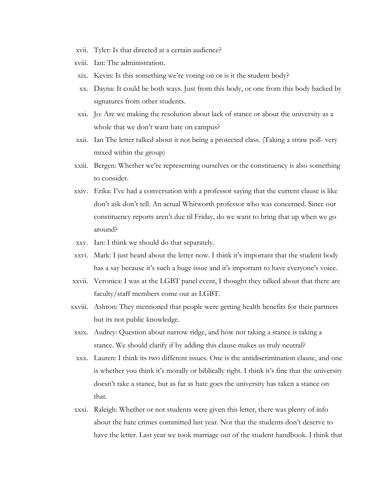- xvii. Tyler: Is that directed at a certain audience?
- xviii. Ian: The administration.
- xix. Kevin: Is this something we're voting on or is it the student body?
- xx. Dayna: It could be both ways. Just from this body, or one from this body backed by signatures from other students.
- xxi. Jo: Are we making the resolution about lack of stance or about the university as a whole that we don't want hate on campus?
- xxii. Ian The letter talked about it not being a protected class. (Taking a straw poll- very mixed within the group)
- xxiii. Bergen: Whether we're representing ourselves or the constituency is also something to consider.
- xxiv. Erika: I've had a conversation with a professor saying that the current clause is like don't ask don't tell. An actual Whitworth professor who was concerned. Since our constituency reports aren't due til Friday, do we want to bring that up when we go around?
- xxv. Ian: I think we should do that separately.
- xxvi. Mark: I just heard about the letter now. I think it's important that the student body has a say because it's such a huge issue and it's important to have everyone's voice.
- xxvii. Veronica: I was at the LGBT panel event, I thought they talked about that there are faculty/staff members come out as LGBT.
- xxviii. Ashton: They mentioned that people were getting health benefits for their partners but its not public knowledge.
- xxix. Audrey: Question about narrow ridge, and how not taking a stance is taking a stance. We should clarify if by adding this clause makes us truly neutral?
- xxx. Lauren: I think its two different issues. One is the antidiscrimination clause, and one is whether you think it's morally or biblically right. I think it's fine that the university doesn't take a stance, but as far as hate goes the university has taken a stance on that.
- xxxi. Raleigh: Whether or not students were given this letter, there was plenty of info about the hate crimes committed last year. Not that the students don't deserve to have the letter. Last year we took marriage out of the student handbook. I think that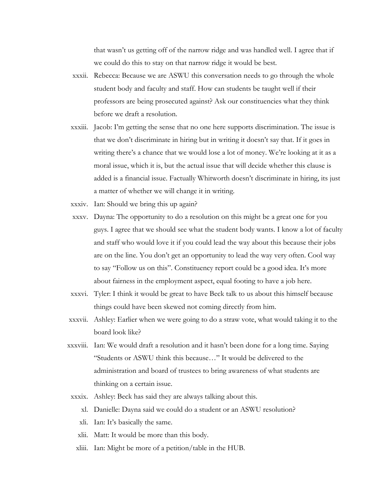that wasn't us getting off of the narrow ridge and was handled well. I agree that if we could do this to stay on that narrow ridge it would be best.

- xxxii. Rebecca: Because we are ASWU this conversation needs to go through the whole student body and faculty and staff. How can students be taught well if their professors are being prosecuted against? Ask our constituencies what they think before we draft a resolution.
- xxxiii. Jacob: I'm getting the sense that no one here supports discrimination. The issue is that we don't discriminate in hiring but in writing it doesn't say that. If it goes in writing there's a chance that we would lose a lot of money. We're looking at it as a moral issue, which it is, but the actual issue that will decide whether this clause is added is a financial issue. Factually Whitworth doesn't discriminate in hiring, its just a matter of whether we will change it in writing.
- xxxiv. Ian: Should we bring this up again?
- xxxv. Dayna: The opportunity to do a resolution on this might be a great one for you guys. I agree that we should see what the student body wants. I know a lot of faculty and staff who would love it if you could lead the way about this because their jobs are on the line. You don't get an opportunity to lead the way very often. Cool way to say "Follow us on this". Constituency report could be a good idea. It's more about fairness in the employment aspect, equal footing to have a job here.
- xxxvi. Tyler: I think it would be great to have Beck talk to us about this himself because things could have been skewed not coming directly from him.
- xxxvii. Ashley: Earlier when we were going to do a straw vote, what would taking it to the board look like?
- xxxviii. Ian: We would draft a resolution and it hasn't been done for a long time. Saying "Students or ASWU think this because…" It would be delivered to the administration and board of trustees to bring awareness of what students are thinking on a certain issue.
- xxxix. Ashley: Beck has said they are always talking about this.
	- xl. Danielle: Dayna said we could do a student or an ASWU resolution?
	- xli. Ian: It's basically the same.
	- xlii. Matt: It would be more than this body.
	- xliii. Ian: Might be more of a petition/table in the HUB.